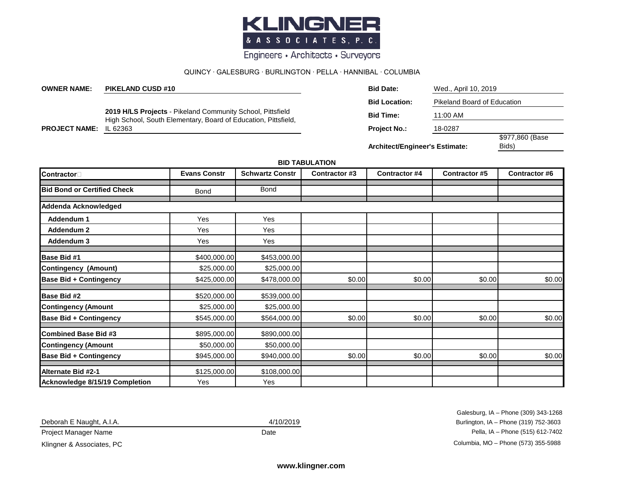

Engineers • Architects • Surveyors

## QUINCY ∙ GALESBURG ∙ BURLINGTON ∙ PELLA ∙ HANNIBAL ∙ COLUMBIA

| <b>OWNER NAME:</b>   | <b>PIKELAND CUSD #10</b>                                                                                                                        | <b>Bid Date:</b>                      | Wed., April 10, 2019        |                          |  |
|----------------------|-------------------------------------------------------------------------------------------------------------------------------------------------|---------------------------------------|-----------------------------|--------------------------|--|
|                      | <b>2019 H/LS Projects - Pikeland Community School, Pittsfield</b><br>High School, South Elementary, Board of Education, Pittsfield,<br>IL 62363 | <b>Bid Location:</b>                  | Pikeland Board of Education |                          |  |
| <b>PROJECT NAME:</b> |                                                                                                                                                 | <b>Bid Time:</b>                      | 11:00 AM                    |                          |  |
|                      |                                                                                                                                                 | <b>Project No.:</b>                   | 18-0287                     |                          |  |
|                      |                                                                                                                                                 | <b>Architect/Engineer's Estimate:</b> |                             | \$977,860 (Base<br>Bids) |  |

## **BID TABULATION**

| <b>Contractor</b>                     | <b>Evans Constr</b> | <b>Schwartz Constr</b> | Contractor #3 | <b>Contractor #4</b> | <b>Contractor #5</b> | Contractor #6 |
|---------------------------------------|---------------------|------------------------|---------------|----------------------|----------------------|---------------|
| <b>Bid Bond or Certified Check</b>    | <b>Bond</b>         | <b>Bond</b>            |               |                      |                      |               |
| Addenda Acknowledged                  |                     |                        |               |                      |                      |               |
| Addendum 1                            | Yes                 | Yes                    |               |                      |                      |               |
| Addendum 2                            | Yes                 | Yes                    |               |                      |                      |               |
| Addendum 3                            | Yes                 | Yes                    |               |                      |                      |               |
| <b>Base Bid #1</b>                    | \$400,000.00        | \$453,000.00           |               |                      |                      |               |
| <b>Contingency (Amount)</b>           | \$25,000.00         | \$25,000.00            |               |                      |                      |               |
| <b>Base Bid + Contingency</b>         | \$425,000.00        | \$478,000.00           | \$0.00        | \$0.00               | \$0.00               | \$0.00        |
| Base Bid #2                           | \$520,000.00        | \$539,000.00           |               |                      |                      |               |
| <b>Contingency (Amount</b>            | \$25,000.00         | \$25,000.00            |               |                      |                      |               |
| <b>Base Bid + Contingency</b>         | \$545,000.00        | \$564,000.00           | \$0.00        | \$0.00               | \$0.00               | \$0.00        |
| <b>Combined Base Bid #3</b>           | \$895,000.00        | \$890,000.00           |               |                      |                      |               |
| <b>Contingency (Amount</b>            | \$50,000.00         | \$50,000.00            |               |                      |                      |               |
| <b>Base Bid + Contingency</b>         | \$945,000.00        | \$940,000.00           | \$0.00        | \$0.00               | \$0.00               | \$0.00        |
| Alternate Bid #2-1                    | \$125,000.00        | \$108,000.00           |               |                      |                      |               |
| <b>Acknowledge 8/15/19 Completion</b> | Yes                 | Yes                    |               |                      |                      |               |

Deborah E Naught, A.I.A.

Galesburg, IA – Phone (309) 343-1268 4/10/2019 Burlington, IA – Phone (319) 752-3603 Project Manager Name **Date** Date **Date** Pella, IA – Phone (515) 612-7402 Klingner & Associates, PC **Columbia, MO** – Phone (573) 355-5988